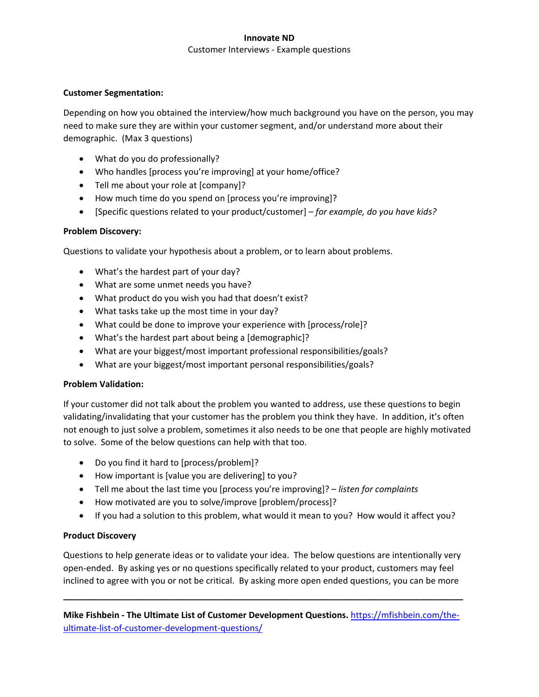### **Innovate ND**

#### Customer Interviews - Example questions

#### **Customer Segmentation:**

Depending on how you obtained the interview/how much background you have on the person, you may need to make sure they are within your customer segment, and/or understand more about their demographic. (Max 3 questions)

- What do you do professionally?
- Who handles [process you're improving] at your home/office?
- Tell me about your role at [company]?
- How much time do you spend on [process you're improving]?
- [Specific questions related to your product/customer] *for example, do you have kids?*

### **Problem Discovery:**

Questions to validate your hypothesis about a problem, or to learn about problems.

- What's the hardest part of your day?
- What are some unmet needs you have?
- What product do you wish you had that doesn't exist?
- What tasks take up the most time in your day?
- What could be done to improve your experience with [process/role]?
- What's the hardest part about being a [demographic]?
- What are your biggest/most important professional responsibilities/goals?
- What are your biggest/most important personal responsibilities/goals?

# **Problem Validation:**

If your customer did not talk about the problem you wanted to address, use these questions to begin validating/invalidating that your customer has the problem you think they have. In addition, it's often not enough to just solve a problem, sometimes it also needs to be one that people are highly motivated to solve. Some of the below questions can help with that too.

- Do you find it hard to [process/problem]?
- How important is [value you are delivering] to you?
- Tell me about the last time you [process you're improving]? *listen for complaints*
- How motivated are you to solve/improve [problem/process]?
- If you had a solution to this problem, what would it mean to you? How would it affect you?

# **Product Discovery**

Questions to help generate ideas or to validate your idea. The below questions are intentionally very open-ended. By asking yes or no questions specifically related to your product, customers may feel inclined to agree with you or not be critical. By asking more open ended questions, you can be more

**\_\_\_\_\_\_\_\_\_\_\_\_\_\_\_\_\_\_\_\_\_\_\_\_\_\_\_\_\_\_\_\_\_\_\_\_\_\_\_\_\_\_\_\_\_\_\_\_\_\_\_\_\_\_\_\_\_\_\_\_\_\_\_\_\_\_\_\_\_\_\_\_\_\_\_\_\_\_\_\_\_\_\_**

**Mike Fishbein - The Ultimate List of Customer Development Questions.** [https://mfishbein.com/the](https://mfishbein.com/the-ultimate-list-of-customer-development-questions/)[ultimate-list-of-customer-development-questions/](https://mfishbein.com/the-ultimate-list-of-customer-development-questions/)